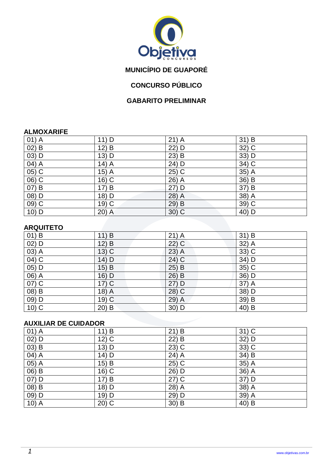

# **MUNICÍPIO DE GUAPORÉ**

## **CONCURSO PÚBLICO**

### **GABARITO PRELIMINAR**

#### **ALMOXARIFE**

| $01)$ A  | 11) D   | $21)$ A | 31) B              |
|----------|---------|---------|--------------------|
| $02)$ B  | 12) B   | 22) D   | 32) C              |
| $(03)$ D | 13) D   | $23)$ B | 33) D              |
| 04) A    | $14)$ A | 24) D   | 34) C              |
| 05) C    | $15)$ A | $25)$ C | 35) $\overline{A}$ |
| 06) C    | 16) C   | 26) A   | 36) B              |
| $07)$ B  | 17) B   | $27)$ D | 37) B              |
| 08) D    | 18) D   | 28) A   | $38)$ A            |
| 09) C    | 19) C   | 29) B   | $39)$ C            |
| 10) D    | 20) A   | $30)$ C | 40) D              |

### **ARQUITETO**

| .                  |         |         |         |
|--------------------|---------|---------|---------|
| $01)$ B            | 11) B   | $21)$ A | $31)$ B |
| $02)$ D            | $12)$ B | $22)$ C | 32) A   |
| 03) A              | $13)$ C | $23)$ A | 33) C   |
| $04)$ C            | 14) D   | $24)$ C | 34) D   |
| $\overline{05)}$ D | $15)$ B | 25) B   | $35)$ C |
| 06) A              | 16) D   | 26) B   | 36) D   |
| $\overline{07)}$ C | $17)$ C | 27) D   | 37) A   |
| $(08)$ B           | $18)$ A | $28)$ C | 38) D   |
| 09) D              | $19)$ C | 29) A   | 39) B   |
| $10)$ C            | $20)$ B | $30)$ D | 40) B   |

### **AUXILIAR DE CUIDADOR**

| $01)$ A                        | 11) B   | 21) B   | $31)$ C                        |
|--------------------------------|---------|---------|--------------------------------|
| $02)$ D                        | $12)$ C | 22) B   | 32) D                          |
| $\overline{03)}$ B             | 13) D   | $23)$ C | $33)$ C                        |
| $04)$ A                        | 14) D   | 24) A   | 34) B                          |
| $\overline{05)}$ A             | 15) B   | 25) C   | 35) A                          |
| $\overline{06}$ $\overline{B}$ | 16) C   | 26) D   | $36)$ A                        |
| 07) D                          | 17) B   | $27)$ C | 37) D                          |
| $(08)$ B                       | 18) D   | 28) A   | $38)$ A                        |
| $09)$ D                        | 19) D   | 29) D   | $\overline{39}$ $\overline{A}$ |
| $10)$ A                        | $20)$ C | $30)$ B | 40) B                          |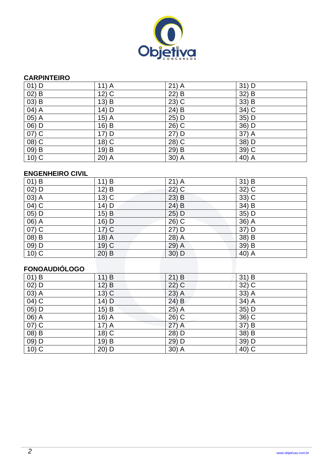

### **CARPINTEIRO**

| $01)$ D  | $11)$ A | $21)$ A | $31)$ D            |
|----------|---------|---------|--------------------|
| $02)$ B  | $12)$ C | $22)$ B | 32) B              |
| $(03)$ B | $13)$ B | $23)$ C | 33) B              |
| $(04)$ A | 14) D   | $24)$ B | 34) C              |
| $05)$ A  | $15)$ A | 25) D   | $35)$ D            |
| $06)$ D  | 16) B   | 26) C   | 36) D              |
| 07) C    | 17) D   | $27)$ D | 37) A              |
| $(08)$ C | 18) C   | 28) C   | 38) D              |
| $(09)$ B | 19) B   | 29) B   | $39)$ C            |
| $10)$ C  | $20)$ A | $30)$ A | 40) $\overline{A}$ |

### **ENGENHEIRO CIVIL**

| $01)$ B            | 11) B   | $21)$ A | $31)$ B            |
|--------------------|---------|---------|--------------------|
| $02)$ D            | 12) B   | $22)$ C | 32) C              |
| $(03)$ A           | $13)$ C | $23)$ B | $33)$ C            |
| $04)$ C            | 14) D   | $24)$ B | $34)$ B            |
| $\overline{05)}$ D | $15)$ B | 25) D   | $35)$ D            |
| $\overline{06)}$ A | $16)$ D | $26)$ C | $36)$ A            |
| 07) C              | $17)$ C | 27) D   | 37) D              |
| $(08)$ B           | $18)$ A | 28) A   | $38) \overline{B}$ |
| $\overline{09)}$ D | $19)$ C | 29) A   | 39) B              |
| $10)$ C            | $20)$ B | $30)$ D | 40) $\overline{A}$ |

## **FONOAUDIÓLOGO**

| 11) B   | $21)$ B | $31)$ B              |
|---------|---------|----------------------|
| 12) B   | 22) C   | 32) C                |
| $13)$ C | $23)$ A | $33)$ A              |
| $14)$ D | 24) B   | $34)$ $\overline{A}$ |
| 15) B   | $25)$ A | 35) D                |
| 16) A   | 26) C   | 36) C                |
| $17)$ A | $27)$ A | 37) B                |
| 18) C   | 28) D   | 38) B                |
| 19) B   | 29) D   | 39) D                |
| 20) D   | $30)$ A | 40) C                |
|         |         |                      |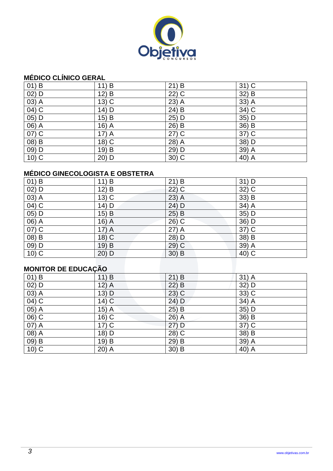

### **MÉDICO CLÍNICO GERAL**

| $01)$ B  | 11) B   | 21) B   | $31)$ C                         |
|----------|---------|---------|---------------------------------|
| $02)$ D  | $12)$ B | 22) C   | $\overline{32}$ $\overline{)B}$ |
| $03)$ A  | $13)$ C | 23) A   | 33) A                           |
| $04)$ C  | 14) D   | $24)$ B | 34) C                           |
| $05)$ D  | $15)$ B | 25) D   | $35)$ D                         |
| $06)$ A  | 16) A   | 26) B   | 36) B                           |
| $07)$ C  | $17)$ A | $27)$ C | 37) C                           |
| $(08)$ B | 18) C   | 28) A   | 38) D                           |
| $09)$ D  | 19) B   | 29) D   | $39)$ A                         |
| $10)$ C  | $20)$ D | $30)$ C | 40) A                           |

## **MÉDICO GINECOLOGISTA E OBSTETRA**

| $01)$ B             | 11) B   | $21)$ B | $31)$ D            |
|---------------------|---------|---------|--------------------|
| $02)$ D             | $12)$ B | $22)$ C | 32) C              |
| 03) A               | $13)$ C | $23)$ A | 33) B              |
| $\overline{04)}$ C  | 14) D   | 24) D   | 34) A              |
| 05) D               | 15) B   | $25)$ B | 35) D              |
| 06) A               | $16)$ A | 26) C   | 36) D              |
| $07)$ C             | $17)$ A | $27)$ A | 37) C              |
| 08) B               | 18) C   | 28) D   | $38) \overline{B}$ |
| 09) D               | 19) B   | $29)$ C | 39) A              |
| $10)$ C             | $20)$ D | $30)$ B | 40) C              |
|                     |         |         |                    |
| MONITOR DE EDUCAÇÃO |         |         |                    |

# **MONITOR DE EDUCAÇÃO**

| $01)$ B            | 11) B   | 21) B   | $31)$ A             |
|--------------------|---------|---------|---------------------|
| $02)$ D            | $12)$ A | $22)$ B | 32) D               |
| $\overline{03)}$ A | $13)$ D | $23)$ C | $\overline{33}$ ) C |
| $\overline{04)}$ C | $14)$ C | $24)$ D | 34) A               |
| 05) A              | $15)$ A | 25) B   | 35) D               |
| $06)$ C            | 16) C   | 26) A   | $36)$ B             |
| 07) A              | $17)$ C | $27)$ D | 37) C               |
| $(08)$ A           | 18) D   | 28) C   | $38)$ B             |
| $(09)$ B           | 19) B   | 29) B   | $39)$ A             |
| $10)$ C            | $20)$ A | $30)$ B | 40) A               |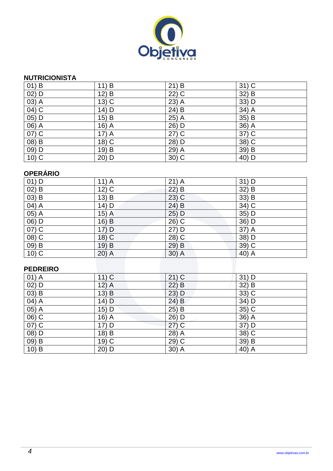

### **NUTRICIONISTA**

| $01)$ B            | 11) B   | 21) B               | $31)$ C            |
|--------------------|---------|---------------------|--------------------|
| 02) D              | 12) B   | $\overline{22}$ ) C | $32) \overline{B}$ |
| 03) A              | $13)$ C | $23)$ A             | 33) D              |
| $04)$ C            | 14) D   | 24) B               | $34)$ A            |
| $\overline{05)}$ D | $15)$ B | 25) A               | $35)$ B            |
| 06) A              | $16)$ A | 26) D               | 36) A              |
| $\overline{07)}$ C | $17)$ A | $27)$ C             | 37) C              |
| $(08)$ B           | 18) C   | 28) D               | 38) C              |
| 09) D              | 19) B   | 29) A               | 39) B              |
| $10)$ C            | 20) D   | $30)$ C             | 40) D              |

## **OPERÁRIO**

| $01)$ D                    | $11)$ A | $21)$ A | 31) D   |
|----------------------------|---------|---------|---------|
| $02)$ B                    | $12)$ C | $22)$ B | 32) B   |
| $(03)$ B                   | 13) B   | $23)$ C | 33) B   |
| $(04)$ A                   | 14) D   | $24)$ B | $34)$ C |
| $(05)$ A                   | $15)$ A | 25) D   | $35)$ D |
| $\frac{06}{07}$ D<br>07) C | $16)$ B | 26) C   | $36)$ D |
|                            | 17) D   | 27) D   | 37) A   |
| $(08)$ C                   | 18) C   | 28) C   | 38) D   |
|                            | 19) B   | 29) B   | $39)$ C |
| $\frac{09}{10}$ B          | 20) A   | $30)$ A | $40)$ A |
|                            |         |         |         |
| <b>DEDDEIDA</b>            |         |         |         |

### **PEDREIRO**

| $01)$ A  | $11)$ C | $21)$ C | $31)$ D            |
|----------|---------|---------|--------------------|
| $02)$ D  | $12)$ A | 22) B   | 32) B              |
| $(03)$ B | 13) B   | 23) D   | $33)$ C            |
| 04) A    | $14)$ D | $24)$ B | 34) D              |
| 05) A    | 15) D   | $25)$ B | 35) C              |
| $06)$ C  | $16)$ A | $26)$ D | 36) A              |
| $07)$ C  | 17) D   | $27)$ C | 37) D              |
| 08) D    | $18)$ B | 28) A   | 38) C              |
| 09) B    | $19)$ C | 29) C   | 39) B              |
| $10)$ B  | 20) D   | $30)$ A | 40) $\overline{A}$ |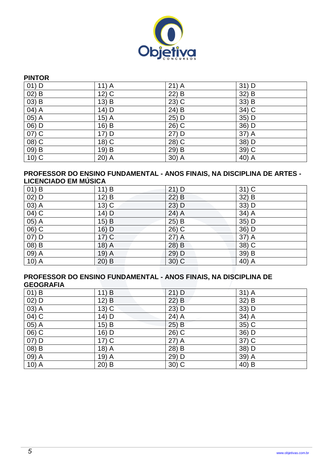

### **PINTOR**

| $01)$ D            | $11)$ A            | $21)$ A             | $31)$ D |
|--------------------|--------------------|---------------------|---------|
| $02)$ B            | $12)$ C            | 22) B               | 32) B   |
| $(03)$ B           | $13)$ B            | $23)$ C             | 33) B   |
| $\overline{04)}$ A | 14) D              | $24)$ B             | $34)$ C |
| $05)$ A            | 15) $\overline{A}$ | 25) D               | 35) D   |
| 06) D              | 16) B              | 26) C               | 36) D   |
| $07)$ C            | 17) D              | $27)$ D             | 37) A   |
| $(08)$ C           | $\overline{18)}$ C | $\overline{28}$ ) C | 38) D   |
| $09)$ B            | 19) B              | 29) B               | $39)$ C |
| $10)$ C            | 20) A              | $30)$ A             | 40) A   |

#### **PROFESSOR DO ENSINO FUNDAMENTAL - ANOS FINAIS, NA DISCIPLINA DE ARTES - LICENCIADO EM MÚSICA**

| $01)$ B                        | 11) B    | $21)$ D | $31)$ C |
|--------------------------------|----------|---------|---------|
| $02)$ D                        | 12) B    | $22)$ B | 32) B   |
| $\overline{03}$ $\overline{A}$ | $13)$ C  | 23) D   | 33) D   |
| $\overline{04)}$ C             | 14) D    | $24)$ A | $34)$ A |
| $05)$ A                        | $15)$ B  | $25)$ B | 35) D   |
| $06)$ C                        | 16) D    | $26)$ C | $36)$ D |
| $07)$ D                        | $17)$ C  | $27)$ A | $37)$ A |
| $(08)$ B                       | 18) A    | 28) B   | $38)$ C |
| 09) A                          | $(19)$ A | 29) D   | 39) B   |
| $10)$ A                        | $20)$ B  | $30)$ C | $40)$ A |

#### **PROFESSOR DO ENSINO FUNDAMENTAL - ANOS FINAIS, NA DISCIPLINA DE GEOGRAFIA**

| -------            |         |         |         |
|--------------------|---------|---------|---------|
| $01)$ B            | 11) B   | $21)$ D | $31)$ A |
| $02)$ D            | $12)$ B | $22)$ B | 32) B   |
| 03) A              | $13)$ C | $23)$ D | 33) D   |
| 04) C              | $14)$ D | $24)$ A | 34) A   |
| $(05)\overline{A}$ | $15)$ B | $25)$ B | 35) C   |
| 06) C              | 16) D   | $26)$ C | 36) D   |
| 07) D              | $17)$ C | $27)$ A | 37) C   |
| 08) B              | $18)$ A | 28) B   | 38) D   |
| 09) A              | 19) A   | 29) D   | 39) A   |
| $10)$ A            | 20) B   | $30)$ C | 40) B   |